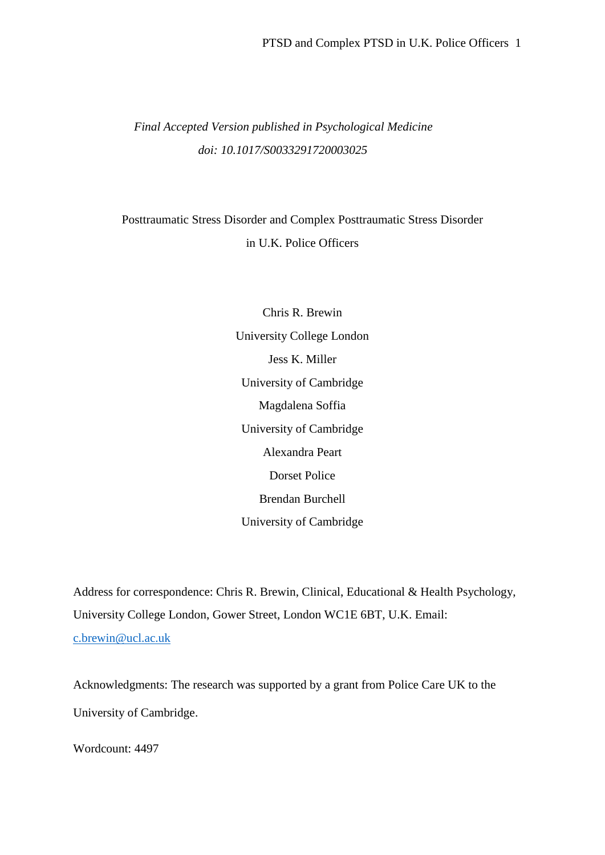## *Final Accepted Version published in Psychological Medicine doi: 10.1017/S0033291720003025*

# Posttraumatic Stress Disorder and Complex Posttraumatic Stress Disorder in U.K. Police Officers

Chris R. Brewin University College London Jess K. Miller University of Cambridge Magdalena Soffia University of Cambridge Alexandra Peart Dorset Police Brendan Burchell University of Cambridge

Address for correspondence: Chris R. Brewin, Clinical, Educational & Health Psychology, University College London, Gower Street, London WC1E 6BT, U.K. Email: c.brewin@ucl.ac.uk

Acknowledgments: The research was supported by a grant from Police Care UK to the University of Cambridge.

Wordcount: 4497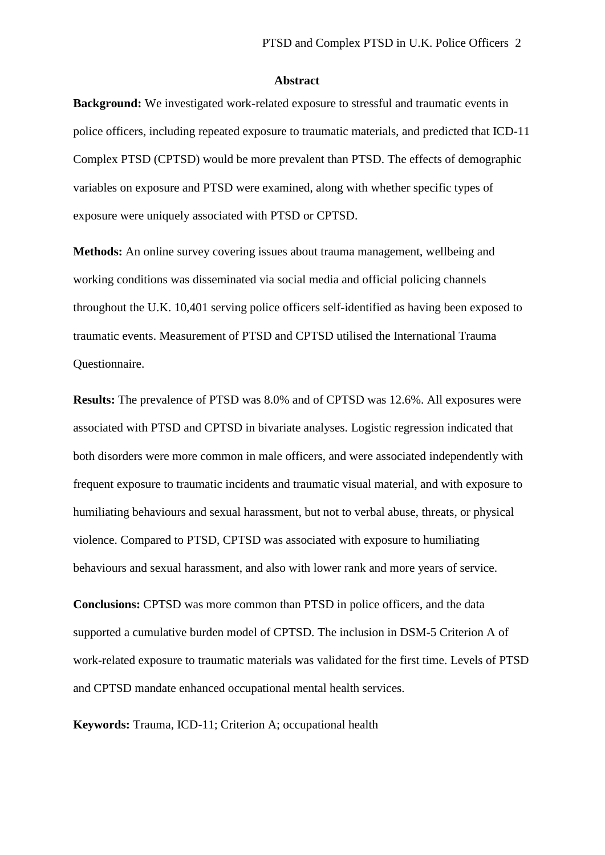#### **Abstract**

**Background:** We investigated work-related exposure to stressful and traumatic events in police officers, including repeated exposure to traumatic materials, and predicted that ICD-11 Complex PTSD (CPTSD) would be more prevalent than PTSD. The effects of demographic variables on exposure and PTSD were examined, along with whether specific types of exposure were uniquely associated with PTSD or CPTSD.

**Methods:** An online survey covering issues about trauma management, wellbeing and working conditions was disseminated via social media and official policing channels throughout the U.K. 10,401 serving police officers self-identified as having been exposed to traumatic events. Measurement of PTSD and CPTSD utilised the International Trauma Questionnaire.

**Results:** The prevalence of PTSD was 8.0% and of CPTSD was 12.6%. All exposures were associated with PTSD and CPTSD in bivariate analyses. Logistic regression indicated that both disorders were more common in male officers, and were associated independently with frequent exposure to traumatic incidents and traumatic visual material, and with exposure to humiliating behaviours and sexual harassment, but not to verbal abuse, threats, or physical violence. Compared to PTSD, CPTSD was associated with exposure to humiliating behaviours and sexual harassment, and also with lower rank and more years of service.

**Conclusions:** CPTSD was more common than PTSD in police officers, and the data supported a cumulative burden model of CPTSD. The inclusion in DSM-5 Criterion A of work-related exposure to traumatic materials was validated for the first time. Levels of PTSD and CPTSD mandate enhanced occupational mental health services.

**Keywords:** Trauma, ICD-11; Criterion A; occupational health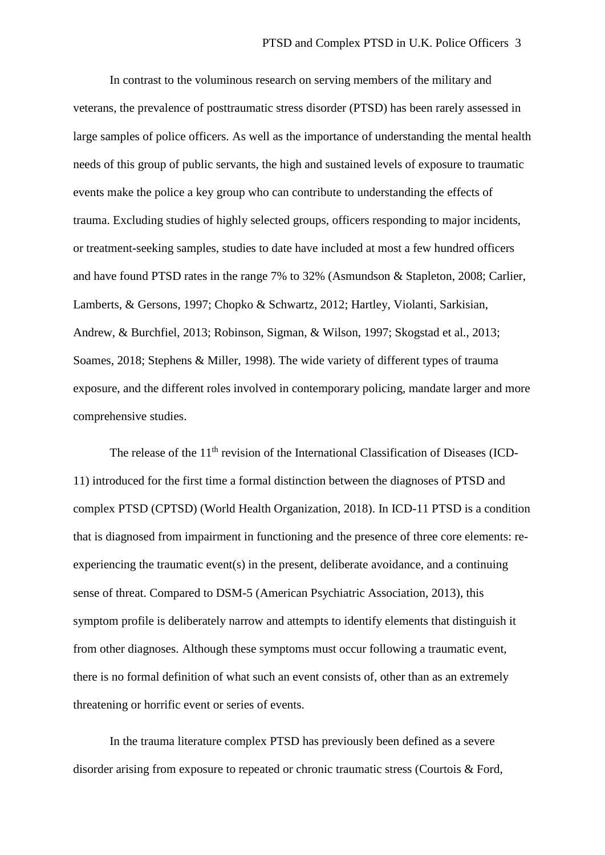In contrast to the voluminous research on serving members of the military and veterans, the prevalence of posttraumatic stress disorder (PTSD) has been rarely assessed in large samples of police officers. As well as the importance of understanding the mental health needs of this group of public servants, the high and sustained levels of exposure to traumatic events make the police a key group who can contribute to understanding the effects of trauma. Excluding studies of highly selected groups, officers responding to major incidents, or treatment-seeking samples, studies to date have included at most a few hundred officers and have found PTSD rates in the range 7% to 32% (Asmundson & Stapleton, 2008; Carlier, Lamberts, & Gersons, 1997; Chopko & Schwartz, 2012; Hartley, Violanti, Sarkisian, Andrew, & Burchfiel, 2013; Robinson, Sigman, & Wilson, 1997; Skogstad et al., 2013; Soames, 2018; Stephens & Miller, 1998). The wide variety of different types of trauma exposure, and the different roles involved in contemporary policing, mandate larger and more comprehensive studies.

The release of the 11<sup>th</sup> revision of the International Classification of Diseases (ICD-11) introduced for the first time a formal distinction between the diagnoses of PTSD and complex PTSD (CPTSD) (World Health Organization, 2018). In ICD-11 PTSD is a condition that is diagnosed from impairment in functioning and the presence of three core elements: reexperiencing the traumatic event(s) in the present, deliberate avoidance, and a continuing sense of threat. Compared to DSM-5 (American Psychiatric Association, 2013), this symptom profile is deliberately narrow and attempts to identify elements that distinguish it from other diagnoses. Although these symptoms must occur following a traumatic event, there is no formal definition of what such an event consists of, other than as an extremely threatening or horrific event or series of events.

In the trauma literature complex PTSD has previously been defined as a severe disorder arising from exposure to repeated or chronic traumatic stress (Courtois & Ford,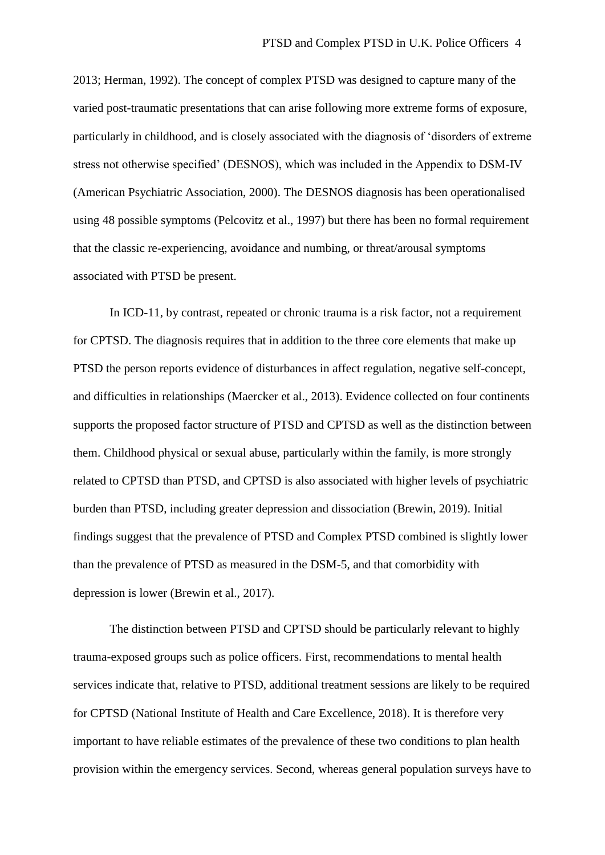2013; Herman, 1992). The concept of complex PTSD was designed to capture many of the varied post-traumatic presentations that can arise following more extreme forms of exposure, particularly in childhood, and is closely associated with the diagnosis of 'disorders of extreme stress not otherwise specified' (DESNOS), which was included in the Appendix to DSM-IV (American Psychiatric Association, 2000). The DESNOS diagnosis has been operationalised using 48 possible symptoms (Pelcovitz et al., 1997) but there has been no formal requirement that the classic re-experiencing, avoidance and numbing, or threat/arousal symptoms associated with PTSD be present.

In ICD-11, by contrast, repeated or chronic trauma is a risk factor, not a requirement for CPTSD. The diagnosis requires that in addition to the three core elements that make up PTSD the person reports evidence of disturbances in affect regulation, negative self-concept, and difficulties in relationships (Maercker et al., 2013). Evidence collected on four continents supports the proposed factor structure of PTSD and CPTSD as well as the distinction between them. Childhood physical or sexual abuse, particularly within the family, is more strongly related to CPTSD than PTSD, and CPTSD is also associated with higher levels of psychiatric burden than PTSD, including greater depression and dissociation (Brewin, 2019). Initial findings suggest that the prevalence of PTSD and Complex PTSD combined is slightly lower than the prevalence of PTSD as measured in the DSM-5, and that comorbidity with depression is lower (Brewin et al., 2017).

The distinction between PTSD and CPTSD should be particularly relevant to highly trauma-exposed groups such as police officers. First, recommendations to mental health services indicate that, relative to PTSD, additional treatment sessions are likely to be required for CPTSD (National Institute of Health and Care Excellence, 2018). It is therefore very important to have reliable estimates of the prevalence of these two conditions to plan health provision within the emergency services. Second, whereas general population surveys have to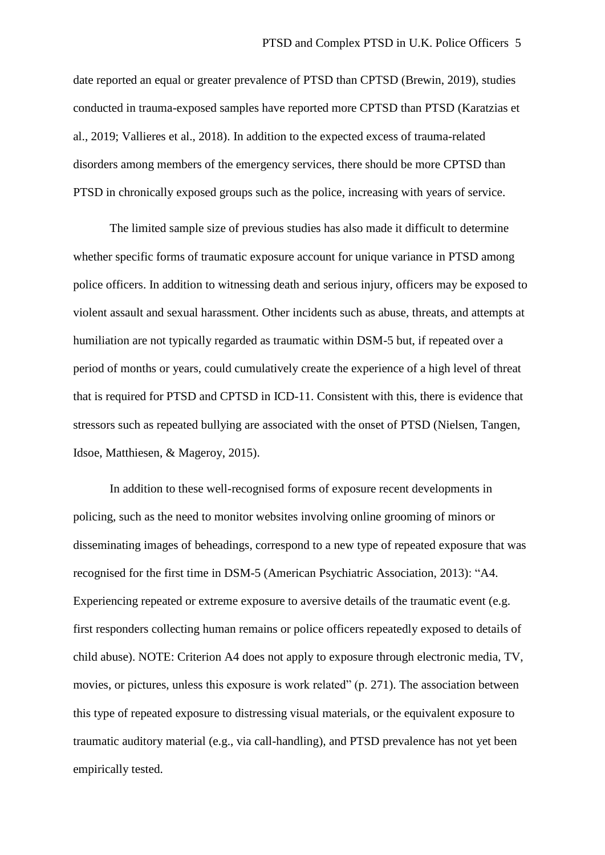date reported an equal or greater prevalence of PTSD than CPTSD (Brewin, 2019), studies conducted in trauma-exposed samples have reported more CPTSD than PTSD (Karatzias et al., 2019; Vallieres et al., 2018). In addition to the expected excess of trauma-related disorders among members of the emergency services, there should be more CPTSD than PTSD in chronically exposed groups such as the police, increasing with years of service.

The limited sample size of previous studies has also made it difficult to determine whether specific forms of traumatic exposure account for unique variance in PTSD among police officers. In addition to witnessing death and serious injury, officers may be exposed to violent assault and sexual harassment. Other incidents such as abuse, threats, and attempts at humiliation are not typically regarded as traumatic within DSM-5 but, if repeated over a period of months or years, could cumulatively create the experience of a high level of threat that is required for PTSD and CPTSD in ICD-11. Consistent with this, there is evidence that stressors such as repeated bullying are associated with the onset of PTSD (Nielsen, Tangen, Idsoe, Matthiesen, & Mageroy, 2015).

In addition to these well-recognised forms of exposure recent developments in policing, such as the need to monitor websites involving online grooming of minors or disseminating images of beheadings, correspond to a new type of repeated exposure that was recognised for the first time in DSM-5 (American Psychiatric Association, 2013): "A4. Experiencing repeated or extreme exposure to aversive details of the traumatic event (e.g. first responders collecting human remains or police officers repeatedly exposed to details of child abuse). NOTE: Criterion A4 does not apply to exposure through electronic media, TV, movies, or pictures, unless this exposure is work related" (p. 271). The association between this type of repeated exposure to distressing visual materials, or the equivalent exposure to traumatic auditory material (e.g., via call-handling), and PTSD prevalence has not yet been empirically tested.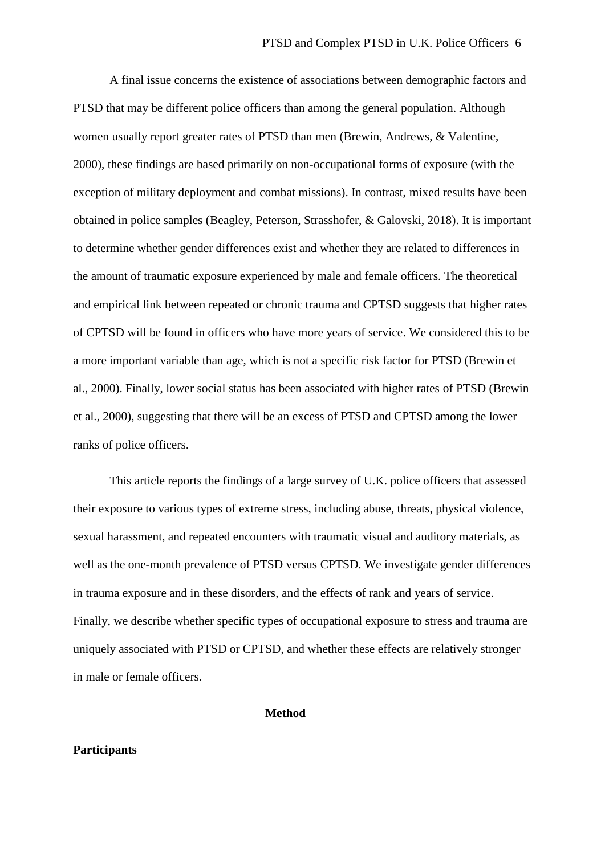A final issue concerns the existence of associations between demographic factors and PTSD that may be different police officers than among the general population. Although women usually report greater rates of PTSD than men (Brewin, Andrews, & Valentine, 2000), these findings are based primarily on non-occupational forms of exposure (with the exception of military deployment and combat missions). In contrast, mixed results have been obtained in police samples (Beagley, Peterson, Strasshofer, & Galovski, 2018). It is important to determine whether gender differences exist and whether they are related to differences in the amount of traumatic exposure experienced by male and female officers. The theoretical and empirical link between repeated or chronic trauma and CPTSD suggests that higher rates of CPTSD will be found in officers who have more years of service. We considered this to be a more important variable than age, which is not a specific risk factor for PTSD (Brewin et al., 2000). Finally, lower social status has been associated with higher rates of PTSD (Brewin et al., 2000), suggesting that there will be an excess of PTSD and CPTSD among the lower ranks of police officers.

This article reports the findings of a large survey of U.K. police officers that assessed their exposure to various types of extreme stress, including abuse, threats, physical violence, sexual harassment, and repeated encounters with traumatic visual and auditory materials, as well as the one-month prevalence of PTSD versus CPTSD. We investigate gender differences in trauma exposure and in these disorders, and the effects of rank and years of service. Finally, we describe whether specific types of occupational exposure to stress and trauma are uniquely associated with PTSD or CPTSD, and whether these effects are relatively stronger in male or female officers.

**Method**

#### **Participants**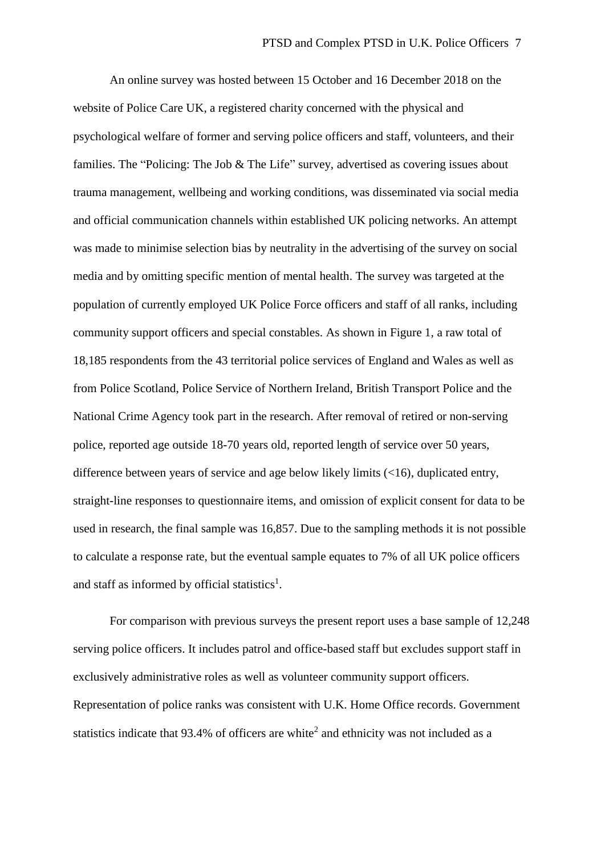An online survey was hosted between 15 October and 16 December 2018 on the website of Police Care UK, a registered charity concerned with the physical and psychological welfare of former and serving police officers and staff, volunteers, and their families. The "Policing: The Job & The Life" survey, advertised as covering issues about trauma management, wellbeing and working conditions, was disseminated via social media and official communication channels within established UK policing networks. An attempt was made to minimise selection bias by neutrality in the advertising of the survey on social media and by omitting specific mention of mental health. The survey was targeted at the population of currently employed UK Police Force officers and staff of all ranks, including community support officers and special constables. As shown in Figure 1, a raw total of 18,185 respondents from the 43 territorial police services of England and Wales as well as from Police Scotland, Police Service of Northern Ireland, British Transport Police and the National Crime Agency took part in the research. After removal of retired or non-serving police, reported age outside 18-70 years old, reported length of service over 50 years, difference between years of service and age below likely limits (<16), duplicated entry, straight-line responses to questionnaire items, and omission of explicit consent for data to be used in research, the final sample was 16,857. Due to the sampling methods it is not possible to calculate a response rate, but the eventual sample equates to 7% of all UK police officers and staff as informed by official statistics<sup>1</sup>.

For comparison with previous surveys the present report uses a base sample of 12,248 serving police officers. It includes patrol and office-based staff but excludes support staff in exclusively administrative roles as well as volunteer community support officers. Representation of police ranks was consistent with U.K. Home Office records. Government statistics indicate that  $93.4\%$  of officers are white<sup>2</sup> and ethnicity was not included as a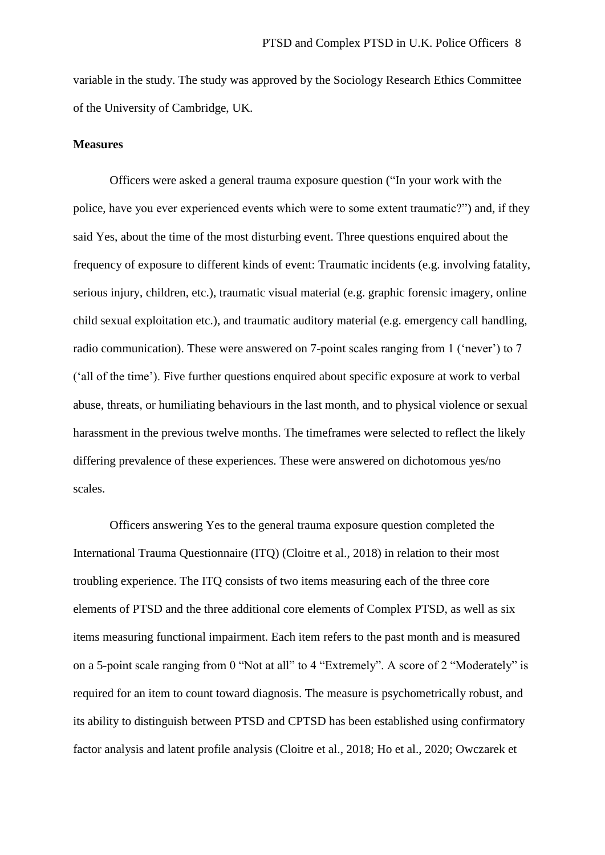variable in the study. The study was approved by the Sociology Research Ethics Committee of the University of Cambridge, UK.

#### **Measures**

Officers were asked a general trauma exposure question ("In your work with the police, have you ever experienced events which were to some extent traumatic?") and, if they said Yes, about the time of the most disturbing event. Three questions enquired about the frequency of exposure to different kinds of event: Traumatic incidents (e.g. involving fatality, serious injury, children, etc.), traumatic visual material (e.g. graphic forensic imagery, online child sexual exploitation etc.), and traumatic auditory material (e.g. emergency call handling, radio communication). These were answered on 7-point scales ranging from 1 ('never') to 7 ('all of the time'). Five further questions enquired about specific exposure at work to verbal abuse, threats, or humiliating behaviours in the last month, and to physical violence or sexual harassment in the previous twelve months. The timeframes were selected to reflect the likely differing prevalence of these experiences. These were answered on dichotomous yes/no scales.

Officers answering Yes to the general trauma exposure question completed the International Trauma Questionnaire (ITQ) (Cloitre et al., 2018) in relation to their most troubling experience. The ITQ consists of two items measuring each of the three core elements of PTSD and the three additional core elements of Complex PTSD, as well as six items measuring functional impairment. Each item refers to the past month and is measured on a 5-point scale ranging from 0 "Not at all" to 4 "Extremely". A score of 2 "Moderately" is required for an item to count toward diagnosis. The measure is psychometrically robust, and its ability to distinguish between PTSD and CPTSD has been established using confirmatory factor analysis and latent profile analysis (Cloitre et al., 2018; Ho et al., 2020; Owczarek et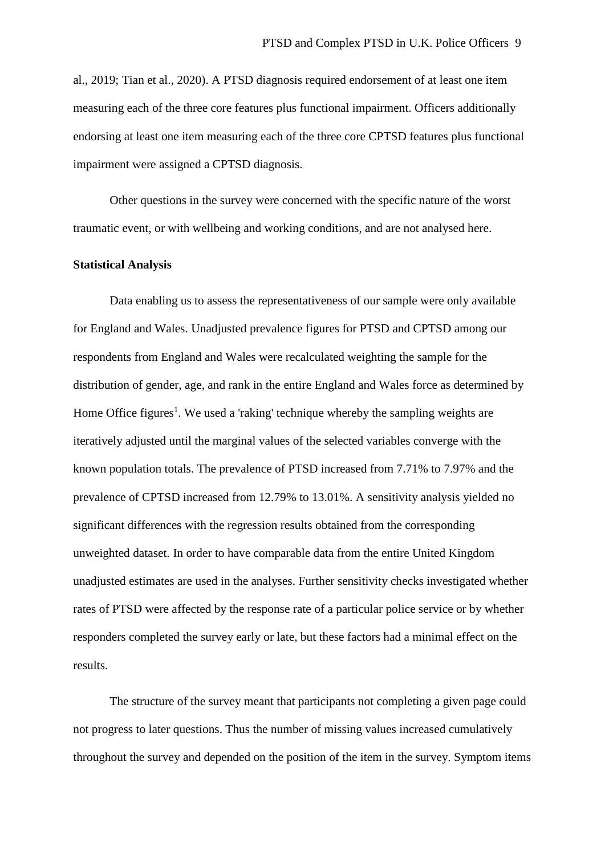al., 2019; Tian et al., 2020). A PTSD diagnosis required endorsement of at least one item measuring each of the three core features plus functional impairment. Officers additionally endorsing at least one item measuring each of the three core CPTSD features plus functional impairment were assigned a CPTSD diagnosis.

Other questions in the survey were concerned with the specific nature of the worst traumatic event, or with wellbeing and working conditions, and are not analysed here.

#### **Statistical Analysis**

Data enabling us to assess the representativeness of our sample were only available for England and Wales. Unadjusted prevalence figures for PTSD and CPTSD among our respondents from England and Wales were recalculated weighting the sample for the distribution of gender, age, and rank in the entire England and Wales force as determined by Home Office figures<sup>1</sup>. We used a 'raking' technique whereby the sampling weights are iteratively adjusted until the marginal values of the selected variables converge with the known population totals. The prevalence of PTSD increased from 7.71% to 7.97% and the prevalence of CPTSD increased from 12.79% to 13.01%. A sensitivity analysis yielded no significant differences with the regression results obtained from the corresponding unweighted dataset. In order to have comparable data from the entire United Kingdom unadjusted estimates are used in the analyses. Further sensitivity checks investigated whether rates of PTSD were affected by the response rate of a particular police service or by whether responders completed the survey early or late, but these factors had a minimal effect on the results.

The structure of the survey meant that participants not completing a given page could not progress to later questions. Thus the number of missing values increased cumulatively throughout the survey and depended on the position of the item in the survey. Symptom items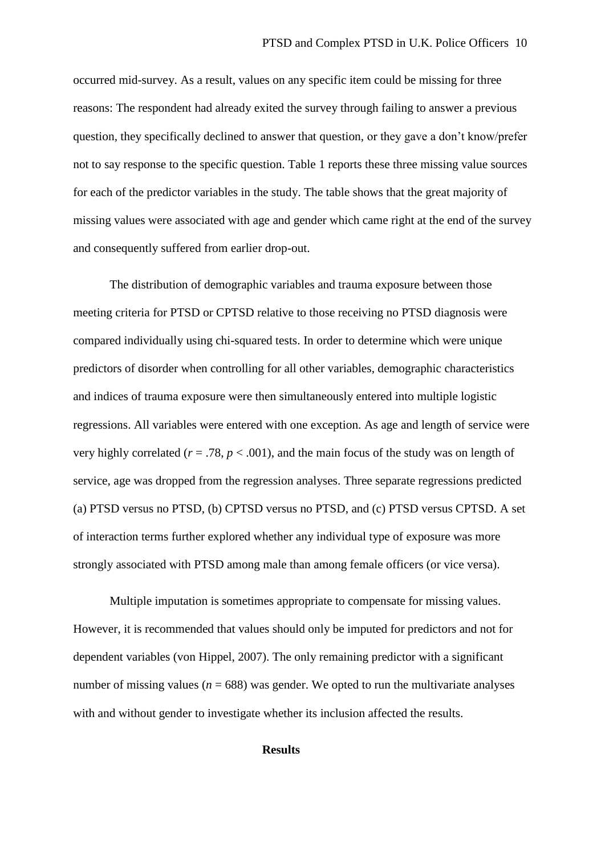occurred mid-survey. As a result, values on any specific item could be missing for three reasons: The respondent had already exited the survey through failing to answer a previous question, they specifically declined to answer that question, or they gave a don't know/prefer not to say response to the specific question. Table 1 reports these three missing value sources for each of the predictor variables in the study. The table shows that the great majority of missing values were associated with age and gender which came right at the end of the survey and consequently suffered from earlier drop-out.

The distribution of demographic variables and trauma exposure between those meeting criteria for PTSD or CPTSD relative to those receiving no PTSD diagnosis were compared individually using chi-squared tests. In order to determine which were unique predictors of disorder when controlling for all other variables, demographic characteristics and indices of trauma exposure were then simultaneously entered into multiple logistic regressions. All variables were entered with one exception. As age and length of service were very highly correlated ( $r = .78$ ,  $p < .001$ ), and the main focus of the study was on length of service, age was dropped from the regression analyses. Three separate regressions predicted (a) PTSD versus no PTSD, (b) CPTSD versus no PTSD, and (c) PTSD versus CPTSD. A set of interaction terms further explored whether any individual type of exposure was more strongly associated with PTSD among male than among female officers (or vice versa).

Multiple imputation is sometimes appropriate to compensate for missing values. However, it is recommended that values should only be imputed for predictors and not for dependent variables (von Hippel, 2007). The only remaining predictor with a significant number of missing values ( $n = 688$ ) was gender. We opted to run the multivariate analyses with and without gender to investigate whether its inclusion affected the results.

#### **Results**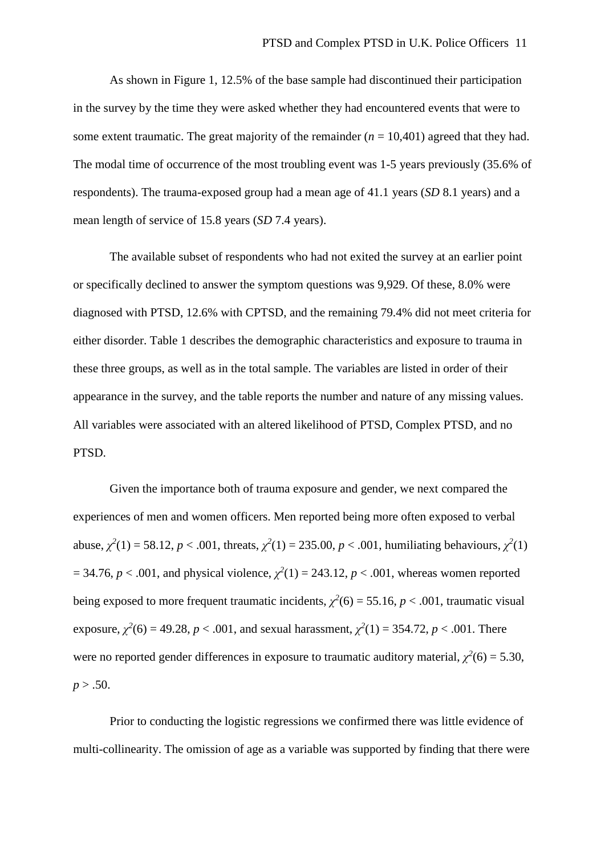As shown in Figure 1, 12.5% of the base sample had discontinued their participation in the survey by the time they were asked whether they had encountered events that were to some extent traumatic. The great majority of the remainder  $(n = 10,401)$  agreed that they had. The modal time of occurrence of the most troubling event was 1-5 years previously (35.6% of respondents). The trauma-exposed group had a mean age of 41.1 years (*SD* 8.1 years) and a mean length of service of 15.8 years (*SD* 7.4 years).

The available subset of respondents who had not exited the survey at an earlier point or specifically declined to answer the symptom questions was 9,929. Of these, 8.0% were diagnosed with PTSD, 12.6% with CPTSD, and the remaining 79.4% did not meet criteria for either disorder. Table 1 describes the demographic characteristics and exposure to trauma in these three groups, as well as in the total sample. The variables are listed in order of their appearance in the survey, and the table reports the number and nature of any missing values. All variables were associated with an altered likelihood of PTSD, Complex PTSD, and no PTSD.

Given the importance both of trauma exposure and gender, we next compared the experiences of men and women officers. Men reported being more often exposed to verbal abuse,  $\chi^2(1) = 58.12$ ,  $p < .001$ , threats,  $\chi^2(1) = 235.00$ ,  $p < .001$ , humiliating behaviours,  $\chi^2(1)$  $= 34.76, p < .001$ , and physical violence,  $\chi^2(1) = 243.12, p < .001$ , whereas women reported being exposed to more frequent traumatic incidents,  $\chi^2(6) = 55.16$ ,  $p < .001$ , traumatic visual exposure,  $\chi^2(6) = 49.28$ ,  $p < .001$ , and sexual harassment,  $\chi^2(1) = 354.72$ ,  $p < .001$ . There were no reported gender differences in exposure to traumatic auditory material,  $\chi^2(6) = 5.30$ ,  $p > .50$ .

Prior to conducting the logistic regressions we confirmed there was little evidence of multi-collinearity. The omission of age as a variable was supported by finding that there were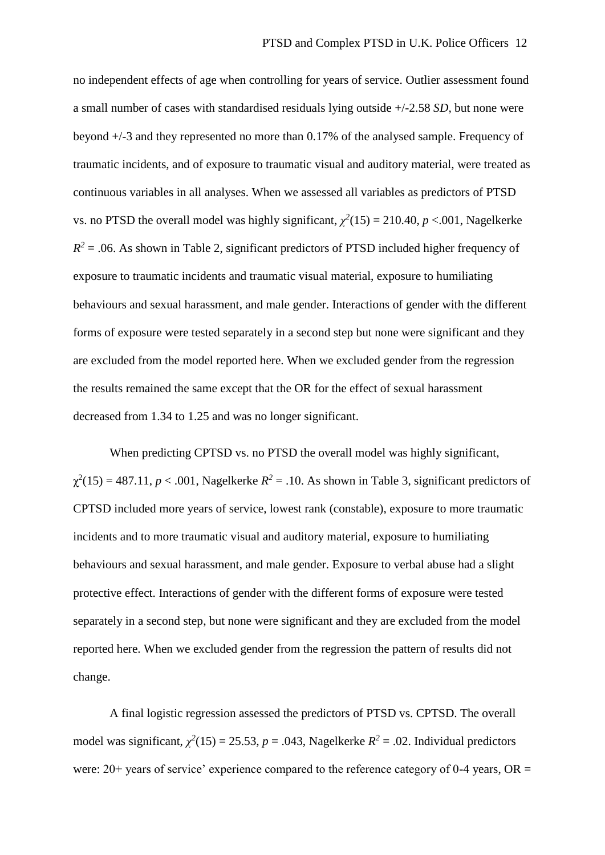no independent effects of age when controlling for years of service. Outlier assessment found a small number of cases with standardised residuals lying outside +/-2.58 *SD,* but none were beyond +/-3 and they represented no more than 0.17% of the analysed sample. Frequency of traumatic incidents, and of exposure to traumatic visual and auditory material, were treated as continuous variables in all analyses. When we assessed all variables as predictors of PTSD vs. no PTSD the overall model was highly significant,  $\chi^2(15) = 210.40$ ,  $p < .001$ , Nagelkerke  $R<sup>2</sup> = 0.06$ . As shown in Table 2, significant predictors of PTSD included higher frequency of exposure to traumatic incidents and traumatic visual material, exposure to humiliating behaviours and sexual harassment, and male gender. Interactions of gender with the different forms of exposure were tested separately in a second step but none were significant and they are excluded from the model reported here. When we excluded gender from the regression the results remained the same except that the OR for the effect of sexual harassment decreased from 1.34 to 1.25 and was no longer significant.

When predicting CPTSD vs. no PTSD the overall model was highly significant,  $\chi^2(15) = 487.11, p < .001$ , Nagelkerke  $R^2 = .10$ . As shown in Table 3, significant predictors of CPTSD included more years of service, lowest rank (constable), exposure to more traumatic incidents and to more traumatic visual and auditory material, exposure to humiliating behaviours and sexual harassment, and male gender. Exposure to verbal abuse had a slight protective effect. Interactions of gender with the different forms of exposure were tested separately in a second step, but none were significant and they are excluded from the model reported here. When we excluded gender from the regression the pattern of results did not change.

A final logistic regression assessed the predictors of PTSD vs. CPTSD. The overall model was significant,  $\chi^2(15) = 25.53$ ,  $p = .043$ , Nagelkerke  $R^2 = .02$ . Individual predictors were:  $20+$  years of service' experience compared to the reference category of 0-4 years, OR =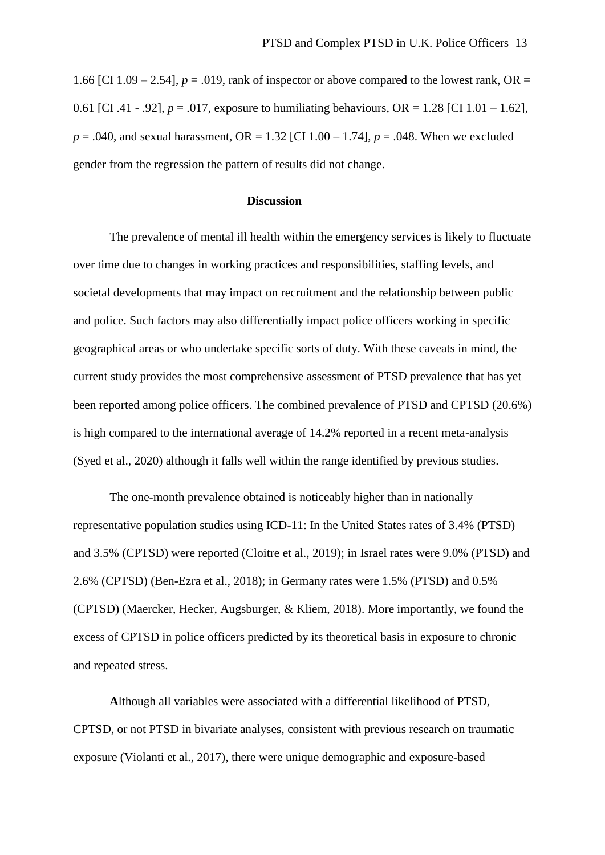1.66 [CI 1.09 – 2.54],  $p = .019$ , rank of inspector or above compared to the lowest rank, OR = 0.61 [CI .41 - .92],  $p = .017$ , exposure to humiliating behaviours,  $OR = 1.28$  [CI 1.01 - 1.62], *p* = .040, and sexual harassment, OR = 1.32 [CI 1.00 – 1.74], *p* = .048. When we excluded gender from the regression the pattern of results did not change.

#### **Discussion**

The prevalence of mental ill health within the emergency services is likely to fluctuate over time due to changes in working practices and responsibilities, staffing levels, and societal developments that may impact on recruitment and the relationship between public and police. Such factors may also differentially impact police officers working in specific geographical areas or who undertake specific sorts of duty. With these caveats in mind, the current study provides the most comprehensive assessment of PTSD prevalence that has yet been reported among police officers. The combined prevalence of PTSD and CPTSD (20.6%) is high compared to the international average of 14.2% reported in a recent meta-analysis (Syed et al., 2020) although it falls well within the range identified by previous studies.

The one-month prevalence obtained is noticeably higher than in nationally representative population studies using ICD-11: In the United States rates of 3.4% (PTSD) and 3.5% (CPTSD) were reported (Cloitre et al., 2019); in Israel rates were 9.0% (PTSD) and 2.6% (CPTSD) (Ben-Ezra et al., 2018); in Germany rates were 1.5% (PTSD) and 0.5% (CPTSD) (Maercker, Hecker, Augsburger, & Kliem, 2018). More importantly, we found the excess of CPTSD in police officers predicted by its theoretical basis in exposure to chronic and repeated stress.

**A**lthough all variables were associated with a differential likelihood of PTSD, CPTSD, or not PTSD in bivariate analyses, consistent with previous research on traumatic exposure (Violanti et al., 2017), there were unique demographic and exposure-based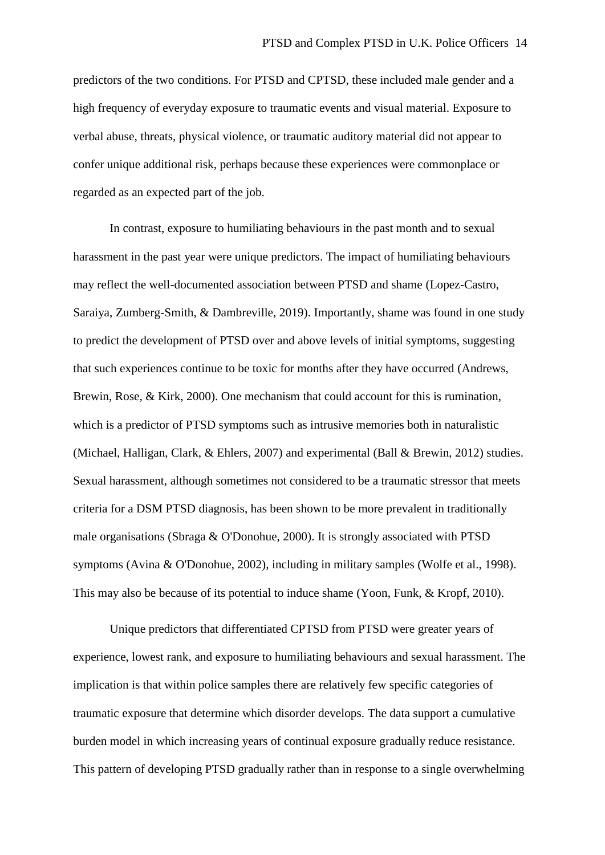predictors of the two conditions. For PTSD and CPTSD, these included male gender and a high frequency of everyday exposure to traumatic events and visual material. Exposure to verbal abuse, threats, physical violence, or traumatic auditory material did not appear to confer unique additional risk, perhaps because these experiences were commonplace or regarded as an expected part of the job.

In contrast, exposure to humiliating behaviours in the past month and to sexual harassment in the past year were unique predictors. The impact of humiliating behaviours may reflect the well-documented association between PTSD and shame (Lopez-Castro, Saraiya, Zumberg-Smith, & Dambreville, 2019). Importantly, shame was found in one study to predict the development of PTSD over and above levels of initial symptoms, suggesting that such experiences continue to be toxic for months after they have occurred (Andrews, Brewin, Rose, & Kirk, 2000). One mechanism that could account for this is rumination, which is a predictor of PTSD symptoms such as intrusive memories both in naturalistic (Michael, Halligan, Clark, & Ehlers, 2007) and experimental (Ball & Brewin, 2012) studies. Sexual harassment, although sometimes not considered to be a traumatic stressor that meets criteria for a DSM PTSD diagnosis, has been shown to be more prevalent in traditionally male organisations (Sbraga & O'Donohue, 2000). It is strongly associated with PTSD symptoms (Avina & O'Donohue, 2002), including in military samples (Wolfe et al., 1998). This may also be because of its potential to induce shame (Yoon, Funk, & Kropf, 2010).

Unique predictors that differentiated CPTSD from PTSD were greater years of experience, lowest rank, and exposure to humiliating behaviours and sexual harassment. The implication is that within police samples there are relatively few specific categories of traumatic exposure that determine which disorder develops. The data support a cumulative burden model in which increasing years of continual exposure gradually reduce resistance. This pattern of developing PTSD gradually rather than in response to a single overwhelming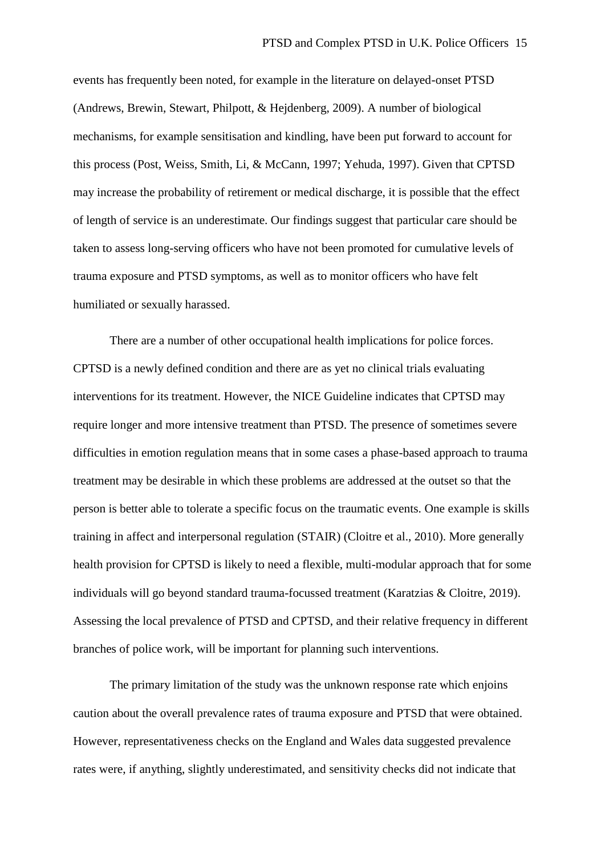events has frequently been noted, for example in the literature on delayed-onset PTSD (Andrews, Brewin, Stewart, Philpott, & Hejdenberg, 2009). A number of biological mechanisms, for example sensitisation and kindling, have been put forward to account for this process (Post, Weiss, Smith, Li, & McCann, 1997; Yehuda, 1997). Given that CPTSD may increase the probability of retirement or medical discharge, it is possible that the effect of length of service is an underestimate. Our findings suggest that particular care should be taken to assess long-serving officers who have not been promoted for cumulative levels of trauma exposure and PTSD symptoms, as well as to monitor officers who have felt humiliated or sexually harassed.

There are a number of other occupational health implications for police forces. CPTSD is a newly defined condition and there are as yet no clinical trials evaluating interventions for its treatment. However, the NICE Guideline indicates that CPTSD may require longer and more intensive treatment than PTSD. The presence of sometimes severe difficulties in emotion regulation means that in some cases a phase-based approach to trauma treatment may be desirable in which these problems are addressed at the outset so that the person is better able to tolerate a specific focus on the traumatic events. One example is skills training in affect and interpersonal regulation (STAIR) (Cloitre et al., 2010). More generally health provision for CPTSD is likely to need a flexible, multi-modular approach that for some individuals will go beyond standard trauma-focussed treatment (Karatzias & Cloitre, 2019). Assessing the local prevalence of PTSD and CPTSD, and their relative frequency in different branches of police work, will be important for planning such interventions.

The primary limitation of the study was the unknown response rate which enjoins caution about the overall prevalence rates of trauma exposure and PTSD that were obtained. However, representativeness checks on the England and Wales data suggested prevalence rates were, if anything, slightly underestimated, and sensitivity checks did not indicate that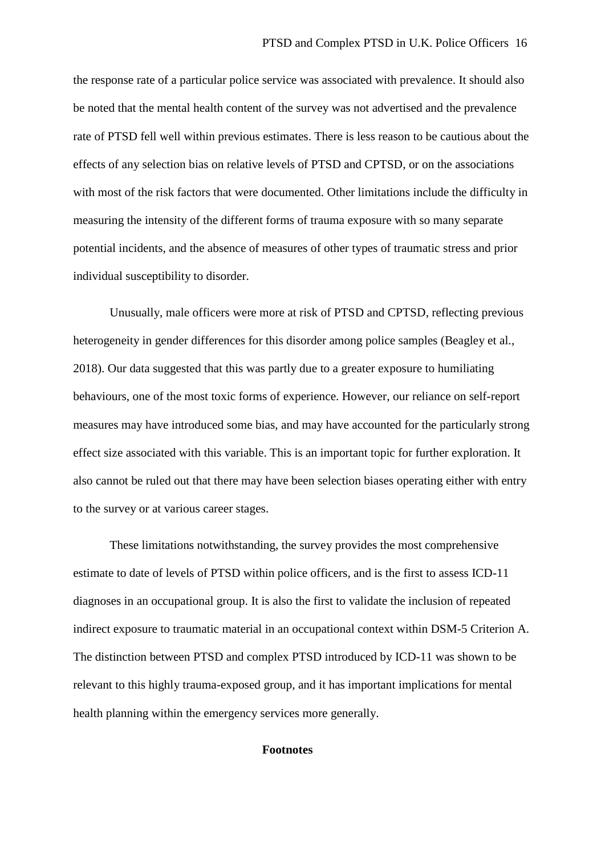the response rate of a particular police service was associated with prevalence. It should also be noted that the mental health content of the survey was not advertised and the prevalence rate of PTSD fell well within previous estimates. There is less reason to be cautious about the effects of any selection bias on relative levels of PTSD and CPTSD, or on the associations with most of the risk factors that were documented. Other limitations include the difficulty in measuring the intensity of the different forms of trauma exposure with so many separate potential incidents, and the absence of measures of other types of traumatic stress and prior individual susceptibility to disorder.

Unusually, male officers were more at risk of PTSD and CPTSD, reflecting previous heterogeneity in gender differences for this disorder among police samples (Beagley et al., 2018). Our data suggested that this was partly due to a greater exposure to humiliating behaviours, one of the most toxic forms of experience. However, our reliance on self-report measures may have introduced some bias, and may have accounted for the particularly strong effect size associated with this variable. This is an important topic for further exploration. It also cannot be ruled out that there may have been selection biases operating either with entry to the survey or at various career stages.

These limitations notwithstanding, the survey provides the most comprehensive estimate to date of levels of PTSD within police officers, and is the first to assess ICD-11 diagnoses in an occupational group. It is also the first to validate the inclusion of repeated indirect exposure to traumatic material in an occupational context within DSM-5 Criterion A. The distinction between PTSD and complex PTSD introduced by ICD-11 was shown to be relevant to this highly trauma-exposed group, and it has important implications for mental health planning within the emergency services more generally.

#### **Footnotes**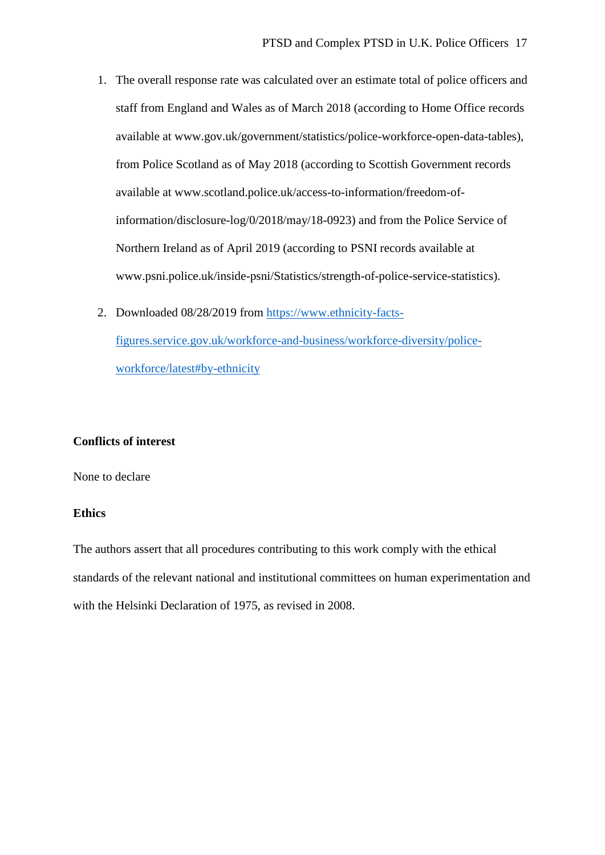- 1. The overall response rate was calculated over an estimate total of police officers and staff from England and Wales as of March 2018 (according to Home Office records available at www.gov.uk/government/statistics/police-workforce-open-data-tables), from Police Scotland as of May 2018 (according to Scottish Government records available at www.scotland.police.uk/access-to-information/freedom-ofinformation/disclosure-log/0/2018/may/18-0923) and from the Police Service of Northern Ireland as of April 2019 (according to PSNI records available at www.psni.police.uk/inside-psni/Statistics/strength-of-police-service-statistics).
- 2. Downloaded 08/28/2019 from [https://www.ethnicity-facts](https://www.ethnicity-facts-figures.service.gov.uk/workforce-and-business/workforce-diversity/police-workforce/latest#by-ethnicity)[figures.service.gov.uk/workforce-and-business/workforce-diversity/police](https://www.ethnicity-facts-figures.service.gov.uk/workforce-and-business/workforce-diversity/police-workforce/latest#by-ethnicity)[workforce/latest#by-ethnicity](https://www.ethnicity-facts-figures.service.gov.uk/workforce-and-business/workforce-diversity/police-workforce/latest#by-ethnicity)

#### **Conflicts of interest**

None to declare

#### **Ethics**

The authors assert that all procedures contributing to this work comply with the ethical standards of the relevant national and institutional committees on human experimentation and with the Helsinki Declaration of 1975, as revised in 2008.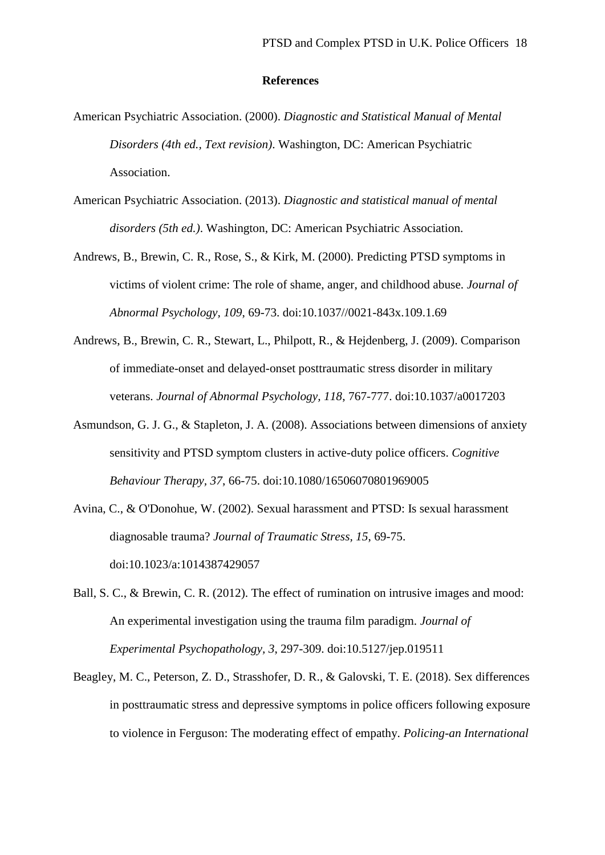#### **References**

- American Psychiatric Association. (2000). *Diagnostic and Statistical Manual of Mental Disorders (4th ed., Text revision)*. Washington, DC: American Psychiatric Association.
- American Psychiatric Association. (2013). *Diagnostic and statistical manual of mental disorders (5th ed.)*. Washington, DC: American Psychiatric Association.
- Andrews, B., Brewin, C. R., Rose, S., & Kirk, M. (2000). Predicting PTSD symptoms in victims of violent crime: The role of shame, anger, and childhood abuse. *Journal of Abnormal Psychology, 109*, 69-73. doi:10.1037//0021-843x.109.1.69
- Andrews, B., Brewin, C. R., Stewart, L., Philpott, R., & Hejdenberg, J. (2009). Comparison of immediate-onset and delayed-onset posttraumatic stress disorder in military veterans. *Journal of Abnormal Psychology, 118*, 767-777. doi:10.1037/a0017203
- Asmundson, G. J. G., & Stapleton, J. A. (2008). Associations between dimensions of anxiety sensitivity and PTSD symptom clusters in active-duty police officers. *Cognitive Behaviour Therapy, 37*, 66-75. doi:10.1080/16506070801969005
- Avina, C., & O'Donohue, W. (2002). Sexual harassment and PTSD: Is sexual harassment diagnosable trauma? *Journal of Traumatic Stress, 15*, 69-75. doi:10.1023/a:1014387429057
- Ball, S. C., & Brewin, C. R. (2012). The effect of rumination on intrusive images and mood: An experimental investigation using the trauma film paradigm. *Journal of Experimental Psychopathology, 3*, 297-309. doi:10.5127/jep.019511
- Beagley, M. C., Peterson, Z. D., Strasshofer, D. R., & Galovski, T. E. (2018). Sex differences in posttraumatic stress and depressive symptoms in police officers following exposure to violence in Ferguson: The moderating effect of empathy. *Policing-an International*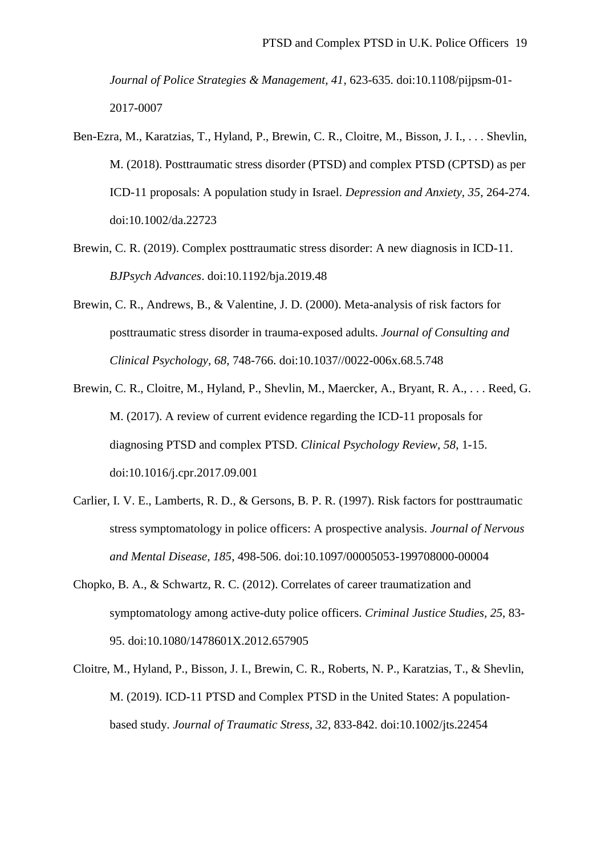*Journal of Police Strategies & Management, 41*, 623-635. doi:10.1108/pijpsm-01- 2017-0007

- Ben-Ezra, M., Karatzias, T., Hyland, P., Brewin, C. R., Cloitre, M., Bisson, J. I., . . . Shevlin, M. (2018). Posttraumatic stress disorder (PTSD) and complex PTSD (CPTSD) as per ICD-11 proposals: A population study in Israel. *Depression and Anxiety, 35*, 264-274. doi:10.1002/da.22723
- Brewin, C. R. (2019). Complex posttraumatic stress disorder: A new diagnosis in ICD-11. *BJPsych Advances*. doi:10.1192/bja.2019.48
- Brewin, C. R., Andrews, B., & Valentine, J. D. (2000). Meta-analysis of risk factors for posttraumatic stress disorder in trauma-exposed adults. *Journal of Consulting and Clinical Psychology, 68*, 748-766. doi:10.1037//0022-006x.68.5.748
- Brewin, C. R., Cloitre, M., Hyland, P., Shevlin, M., Maercker, A., Bryant, R. A., . . . Reed, G. M. (2017). A review of current evidence regarding the ICD-11 proposals for diagnosing PTSD and complex PTSD. *Clinical Psychology Review, 58*, 1-15. doi:10.1016/j.cpr.2017.09.001
- Carlier, I. V. E., Lamberts, R. D., & Gersons, B. P. R. (1997). Risk factors for posttraumatic stress symptomatology in police officers: A prospective analysis. *Journal of Nervous and Mental Disease, 185*, 498-506. doi:10.1097/00005053-199708000-00004
- Chopko, B. A., & Schwartz, R. C. (2012). Correlates of career traumatization and symptomatology among active-duty police officers. *Criminal Justice Studies, 25*, 83- 95. doi:10.1080/1478601X.2012.657905
- Cloitre, M., Hyland, P., Bisson, J. I., Brewin, C. R., Roberts, N. P., Karatzias, T., & Shevlin, M. (2019). ICD-11 PTSD and Complex PTSD in the United States: A populationbased study. *Journal of Traumatic Stress, 32*, 833-842. doi:10.1002/jts.22454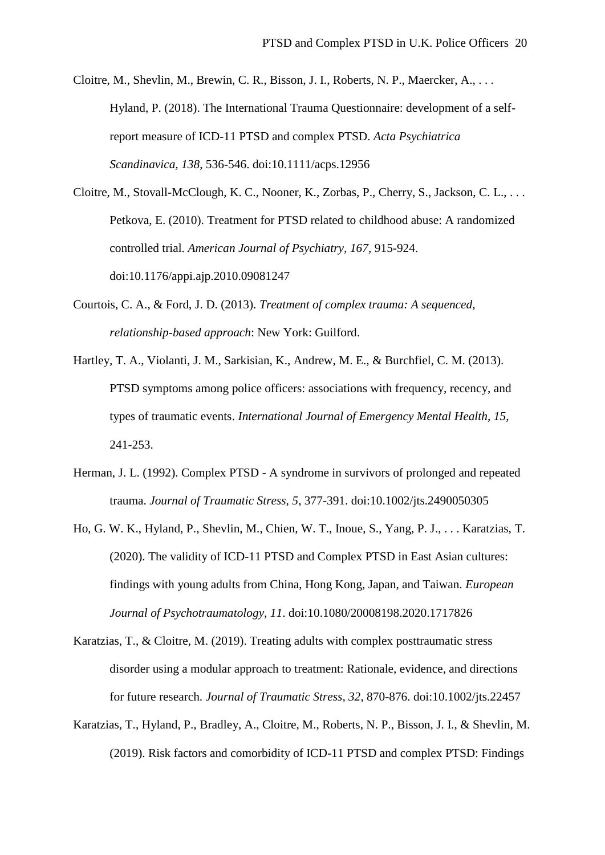Cloitre, M., Shevlin, M., Brewin, C. R., Bisson, J. I., Roberts, N. P., Maercker, A., . . . Hyland, P. (2018). The International Trauma Questionnaire: development of a selfreport measure of ICD-11 PTSD and complex PTSD. *Acta Psychiatrica Scandinavica, 138*, 536-546. doi:10.1111/acps.12956

Cloitre, M., Stovall-McClough, K. C., Nooner, K., Zorbas, P., Cherry, S., Jackson, C. L., . . . Petkova, E. (2010). Treatment for PTSD related to childhood abuse: A randomized controlled trial. *American Journal of Psychiatry, 167*, 915-924. doi:10.1176/appi.ajp.2010.09081247

- Courtois, C. A., & Ford, J. D. (2013). *Treatment of complex trauma: A sequenced, relationship-based approach*: New York: Guilford.
- Hartley, T. A., Violanti, J. M., Sarkisian, K., Andrew, M. E., & Burchfiel, C. M. (2013). PTSD symptoms among police officers: associations with frequency, recency, and types of traumatic events. *International Journal of Emergency Mental Health, 15*, 241-253.
- Herman, J. L. (1992). Complex PTSD A syndrome in survivors of prolonged and repeated trauma. *Journal of Traumatic Stress, 5*, 377-391. doi:10.1002/jts.2490050305
- Ho, G. W. K., Hyland, P., Shevlin, M., Chien, W. T., Inoue, S., Yang, P. J., . . . Karatzias, T. (2020). The validity of ICD-11 PTSD and Complex PTSD in East Asian cultures: findings with young adults from China, Hong Kong, Japan, and Taiwan. *European Journal of Psychotraumatology, 11*. doi:10.1080/20008198.2020.1717826
- Karatzias, T., & Cloitre, M. (2019). Treating adults with complex posttraumatic stress disorder using a modular approach to treatment: Rationale, evidence, and directions for future research. *Journal of Traumatic Stress, 32*, 870-876. doi:10.1002/jts.22457
- Karatzias, T., Hyland, P., Bradley, A., Cloitre, M., Roberts, N. P., Bisson, J. I., & Shevlin, M. (2019). Risk factors and comorbidity of ICD-11 PTSD and complex PTSD: Findings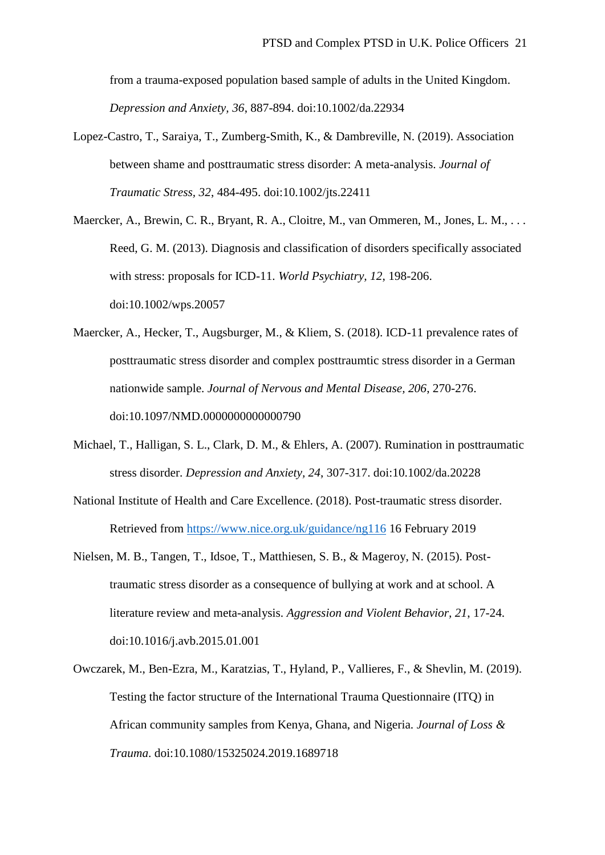from a trauma-exposed population based sample of adults in the United Kingdom. *Depression and Anxiety, 36*, 887-894. doi:10.1002/da.22934

- Lopez-Castro, T., Saraiya, T., Zumberg-Smith, K., & Dambreville, N. (2019). Association between shame and posttraumatic stress disorder: A meta-analysis. *Journal of Traumatic Stress, 32*, 484-495. doi:10.1002/jts.22411
- Maercker, A., Brewin, C. R., Bryant, R. A., Cloitre, M., van Ommeren, M., Jones, L. M., ... Reed, G. M. (2013). Diagnosis and classification of disorders specifically associated with stress: proposals for ICD-11. *World Psychiatry, 12*, 198-206. doi:10.1002/wps.20057
- Maercker, A., Hecker, T., Augsburger, M., & Kliem, S. (2018). ICD-11 prevalence rates of posttraumatic stress disorder and complex posttraumtic stress disorder in a German nationwide sample. *Journal of Nervous and Mental Disease, 206*, 270-276. doi:10.1097/NMD.0000000000000790
- Michael, T., Halligan, S. L., Clark, D. M., & Ehlers, A. (2007). Rumination in posttraumatic stress disorder. *Depression and Anxiety, 24*, 307-317. doi:10.1002/da.20228
- National Institute of Health and Care Excellence. (2018). Post-traumatic stress disorder. Retrieved from<https://www.nice.org.uk/guidance/ng116> 16 February 2019
- Nielsen, M. B., Tangen, T., Idsoe, T., Matthiesen, S. B., & Mageroy, N. (2015). Posttraumatic stress disorder as a consequence of bullying at work and at school. A literature review and meta-analysis. *Aggression and Violent Behavior, 21*, 17-24. doi:10.1016/j.avb.2015.01.001
- Owczarek, M., Ben-Ezra, M., Karatzias, T., Hyland, P., Vallieres, F., & Shevlin, M. (2019). Testing the factor structure of the International Trauma Questionnaire (ITQ) in African community samples from Kenya, Ghana, and Nigeria. *Journal of Loss & Trauma*. doi:10.1080/15325024.2019.1689718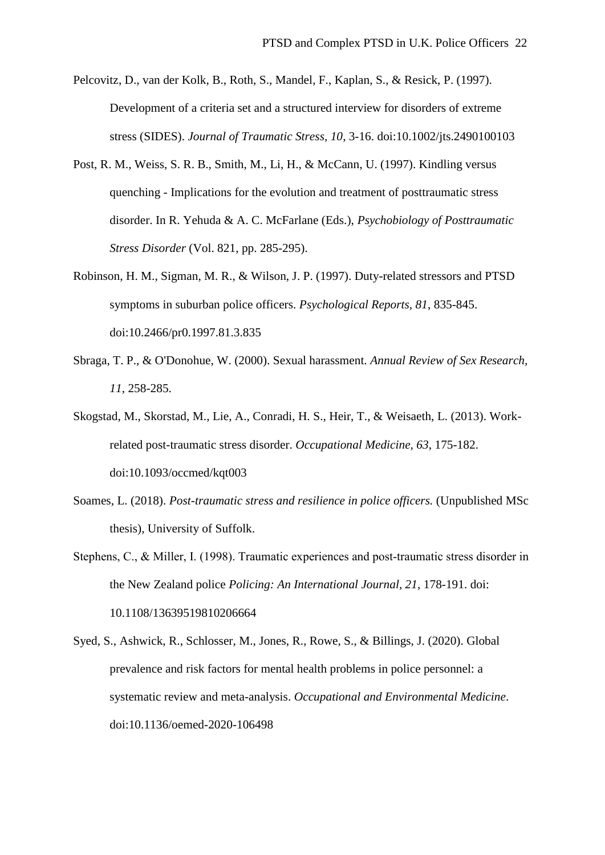- Pelcovitz, D., van der Kolk, B., Roth, S., Mandel, F., Kaplan, S., & Resick, P. (1997). Development of a criteria set and a structured interview for disorders of extreme stress (SIDES). *Journal of Traumatic Stress, 10*, 3-16. doi:10.1002/jts.2490100103
- Post, R. M., Weiss, S. R. B., Smith, M., Li, H., & McCann, U. (1997). Kindling versus quenching - Implications for the evolution and treatment of posttraumatic stress disorder. In R. Yehuda & A. C. McFarlane (Eds.), *Psychobiology of Posttraumatic Stress Disorder* (Vol. 821, pp. 285-295).
- Robinson, H. M., Sigman, M. R., & Wilson, J. P. (1997). Duty-related stressors and PTSD symptoms in suburban police officers. *Psychological Reports, 81*, 835-845. doi:10.2466/pr0.1997.81.3.835
- Sbraga, T. P., & O'Donohue, W. (2000). Sexual harassment. *Annual Review of Sex Research, 11*, 258-285.
- Skogstad, M., Skorstad, M., Lie, A., Conradi, H. S., Heir, T., & Weisaeth, L. (2013). Workrelated post-traumatic stress disorder. *Occupational Medicine, 63*, 175-182. doi:10.1093/occmed/kqt003
- Soames, L. (2018). *Post-traumatic stress and resilience in police officers.* (Unpublished MSc thesis), University of Suffolk.
- Stephens, C., & Miller, I. (1998). Traumatic experiences and post-traumatic stress disorder in the New Zealand police *Policing: An International Journal, 21*, 178-191. doi: 10.1108/13639519810206664
- Syed, S., Ashwick, R., Schlosser, M., Jones, R., Rowe, S., & Billings, J. (2020). Global prevalence and risk factors for mental health problems in police personnel: a systematic review and meta-analysis. *Occupational and Environmental Medicine*. doi:10.1136/oemed-2020-106498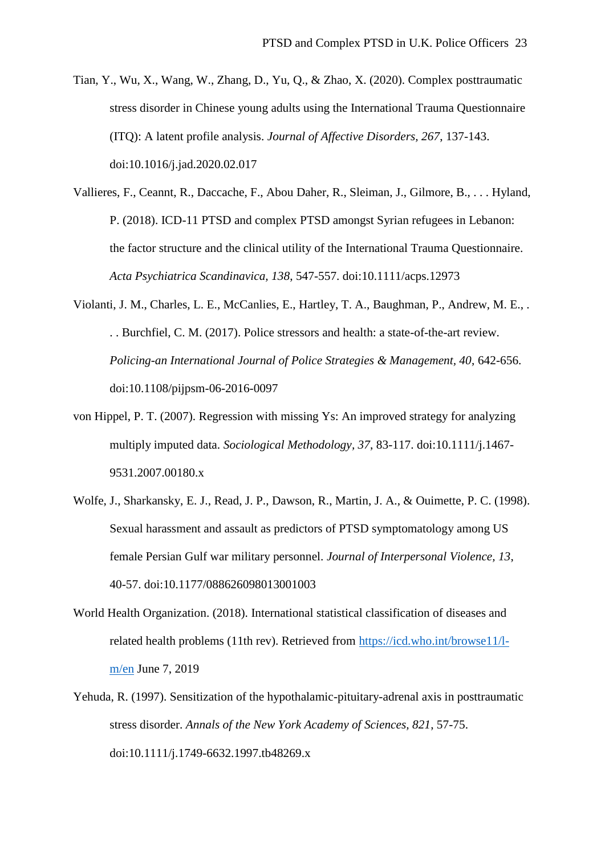- Tian, Y., Wu, X., Wang, W., Zhang, D., Yu, Q., & Zhao, X. (2020). Complex posttraumatic stress disorder in Chinese young adults using the International Trauma Questionnaire (ITQ): A latent profile analysis. *Journal of Affective Disorders, 267*, 137-143. doi:10.1016/j.jad.2020.02.017
- Vallieres, F., Ceannt, R., Daccache, F., Abou Daher, R., Sleiman, J., Gilmore, B., . . . Hyland, P. (2018). ICD-11 PTSD and complex PTSD amongst Syrian refugees in Lebanon: the factor structure and the clinical utility of the International Trauma Questionnaire. *Acta Psychiatrica Scandinavica, 138*, 547-557. doi:10.1111/acps.12973
- Violanti, J. M., Charles, L. E., McCanlies, E., Hartley, T. A., Baughman, P., Andrew, M. E., . . . Burchfiel, C. M. (2017). Police stressors and health: a state-of-the-art review. *Policing-an International Journal of Police Strategies & Management, 40*, 642-656. doi:10.1108/pijpsm-06-2016-0097
- von Hippel, P. T. (2007). Regression with missing Ys: An improved strategy for analyzing multiply imputed data. *Sociological Methodology, 37*, 83-117. doi:10.1111/j.1467- 9531.2007.00180.x
- Wolfe, J., Sharkansky, E. J., Read, J. P., Dawson, R., Martin, J. A., & Ouimette, P. C. (1998). Sexual harassment and assault as predictors of PTSD symptomatology among US female Persian Gulf war military personnel. *Journal of Interpersonal Violence, 13*, 40-57. doi:10.1177/088626098013001003
- World Health Organization. (2018). International statistical classification of diseases and related health problems (11th rev). Retrieved from [https://icd.who.int/browse11/l](https://icd.who.int/browse11/l-m/en)[m/en](https://icd.who.int/browse11/l-m/en) June 7, 2019
- Yehuda, R. (1997). Sensitization of the hypothalamic-pituitary-adrenal axis in posttraumatic stress disorder. *Annals of the New York Academy of Sciences, 821*, 57-75. doi:10.1111/j.1749-6632.1997.tb48269.x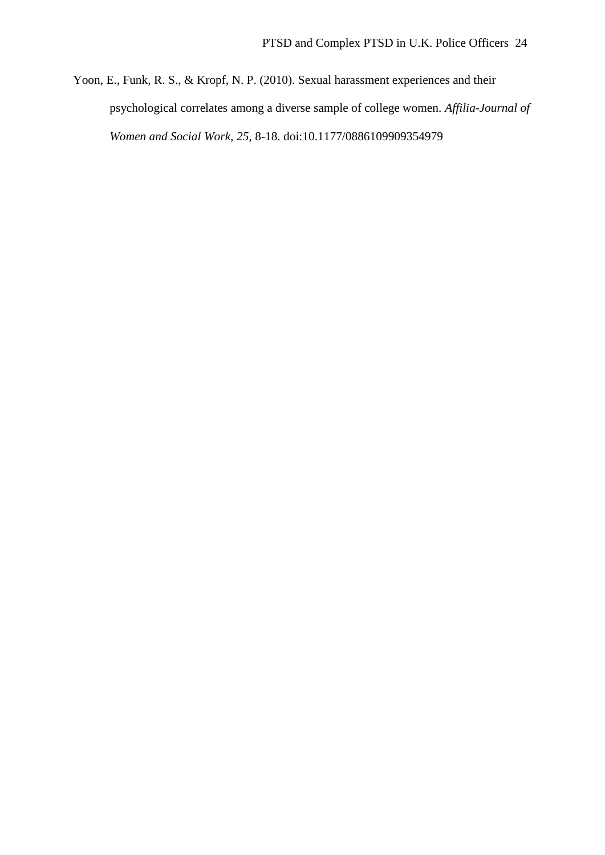Yoon, E., Funk, R. S., & Kropf, N. P. (2010). Sexual harassment experiences and their psychological correlates among a diverse sample of college women. *Affilia-Journal of Women and Social Work, 25*, 8-18. doi:10.1177/0886109909354979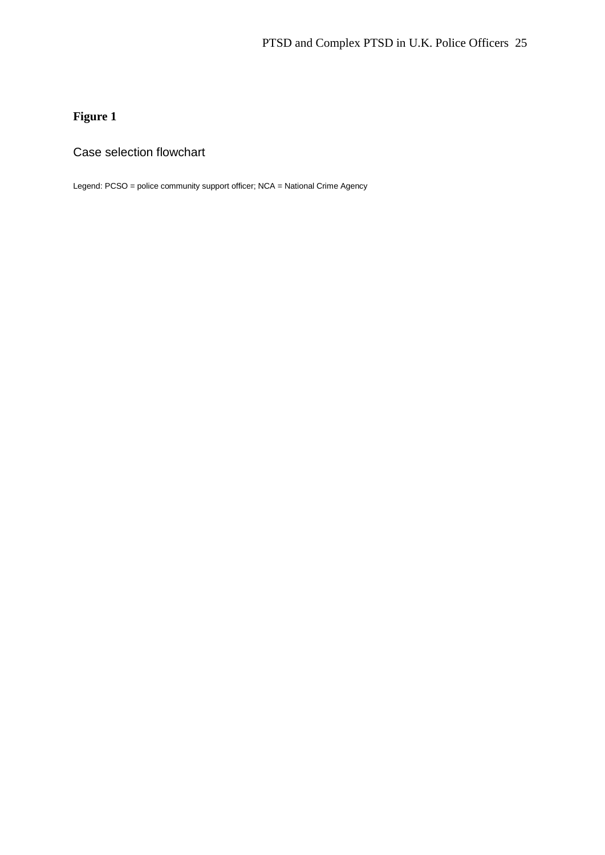## **Figure 1**

### Case selection flowchart

Legend: PCSO = police community support officer; NCA = National Crime Agency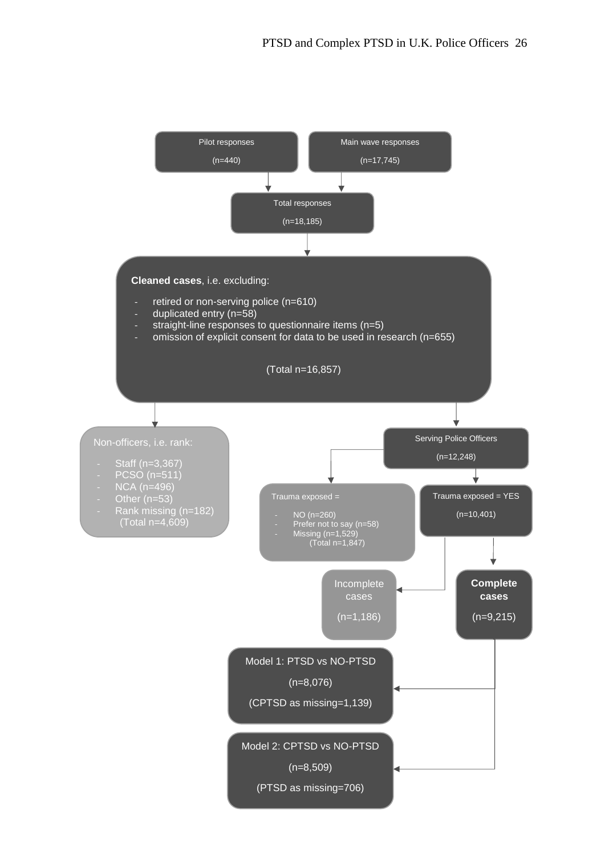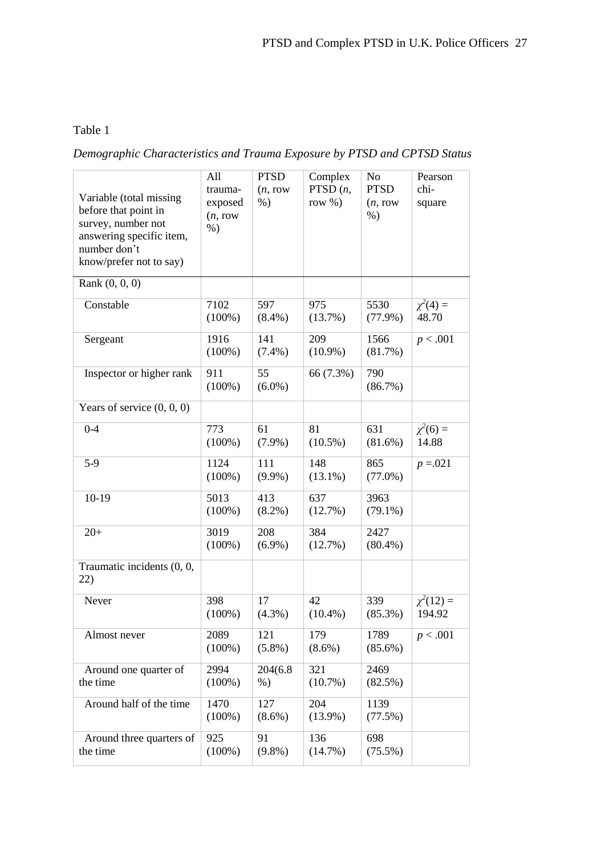### Table 1

## *Demographic Characteristics and Trauma Exposure by PTSD and CPTSD Status*

| Variable (total missing<br>before that point in<br>survey, number not<br>answering specific item,<br>number don't<br>know/prefer not to say) | All<br>trauma-<br>exposed<br>(n, row)<br>$%$ ) | <b>PTSD</b><br>(n, row)<br>$%$ ) | Complex<br>PTSD $(n,$<br>row $%$ ) | No<br><b>PTSD</b><br>(n, row)<br>$%$ ) | Pearson<br>chi-<br>square |
|----------------------------------------------------------------------------------------------------------------------------------------------|------------------------------------------------|----------------------------------|------------------------------------|----------------------------------------|---------------------------|
| Rank $(0, 0, 0)$                                                                                                                             |                                                |                                  |                                    |                                        |                           |
| Constable                                                                                                                                    | 7102<br>$(100\%)$                              | 597<br>$(8.4\%)$                 | 975<br>(13.7%)                     | 5530<br>$(77.9\%)$                     | $\chi^2(4) =$<br>48.70    |
| Sergeant                                                                                                                                     | 1916<br>$(100\%)$                              | 141<br>$(7.4\%)$                 | 209<br>$(10.9\%)$                  | 1566<br>(81.7%)                        | p < .001                  |
| Inspector or higher rank                                                                                                                     | 911<br>$(100\%)$                               | 55<br>$(6.0\%)$                  | 66 (7.3%)                          | 790<br>$(86.7\%)$                      |                           |
| Years of service $(0, 0, 0)$                                                                                                                 |                                                |                                  |                                    |                                        |                           |
| $0 - 4$                                                                                                                                      | 773<br>$(100\%)$                               | 61<br>$(7.9\%)$                  | 81<br>$(10.5\%)$                   | 631<br>$(81.6\%)$                      | $\chi^2(6) =$<br>14.88    |
| $5-9$                                                                                                                                        | 1124<br>$(100\%)$                              | 111<br>$(9.9\%)$                 | 148<br>$(13.1\%)$                  | 865<br>$(77.0\%)$                      | $p = 0.021$               |
| $10-19$                                                                                                                                      | 5013<br>$(100\%)$                              | 413<br>$(8.2\%)$                 | 637<br>(12.7%)                     | 3963<br>$(79.1\%)$                     |                           |
| $20+$                                                                                                                                        | 3019<br>$(100\%)$                              | 208<br>$(6.9\%)$                 | 384<br>(12.7%)                     | 2427<br>$(80.4\%)$                     |                           |
| Traumatic incidents (0, 0,<br>22)                                                                                                            |                                                |                                  |                                    |                                        |                           |
| Never                                                                                                                                        | 398<br>$(100\%)$                               | 17<br>$(4.3\%)$                  | 42<br>$(10.4\%)$                   | 339<br>$(85.3\%)$                      | $\chi^2(12)$ =<br>194.92  |
| Almost never                                                                                                                                 | 2089<br>$(100\%)$                              | 121<br>$(5.8\%)$                 | 179<br>$(8.6\%)$                   | 1789<br>$(85.6\%)$                     | p < .001                  |
| Around one quarter of<br>the time                                                                                                            | 2994<br>$(100\%)$                              | 204(6.8)<br>$%$ )                | 321<br>$(10.7\%)$                  | 2469<br>(82.5%)                        |                           |
| Around half of the time                                                                                                                      | 1470<br>$(100\%)$                              | 127<br>$(8.6\%)$                 | 204<br>$(13.9\%)$                  | 1139<br>(77.5%)                        |                           |
| Around three quarters of<br>the time                                                                                                         | 925<br>$(100\%)$                               | 91<br>$(9.8\%)$                  | 136<br>$(14.7\%)$                  | 698<br>$(75.5\%)$                      |                           |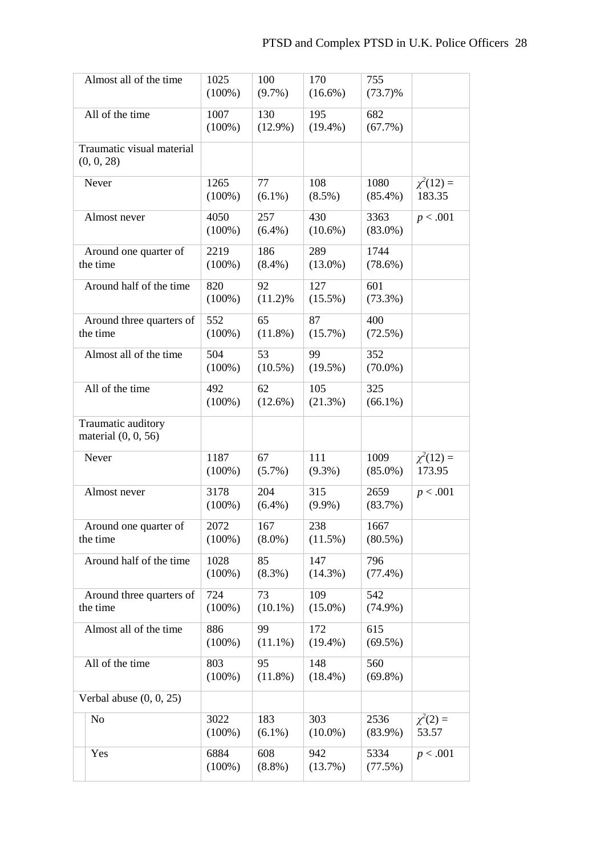| Almost all of the time                      | 1025<br>$(100\%)$ | 100<br>$(9.7\%)$  | 170<br>$(16.6\%)$ | 755<br>$(73.7)\%$  |                          |
|---------------------------------------------|-------------------|-------------------|-------------------|--------------------|--------------------------|
| All of the time                             | 1007<br>$(100\%)$ | 130<br>$(12.9\%)$ | 195<br>$(19.4\%)$ | 682<br>(67.7%)     |                          |
| Traumatic visual material<br>(0, 0, 28)     |                   |                   |                   |                    |                          |
| Never                                       | 1265<br>$(100\%)$ | 77<br>$(6.1\%)$   | 108<br>$(8.5\%)$  | 1080<br>$(85.4\%)$ | $\chi^2(12) =$<br>183.35 |
| Almost never                                | 4050<br>$(100\%)$ | 257<br>$(6.4\%)$  | 430<br>$(10.6\%)$ | 3363<br>$(83.0\%)$ | p < .001                 |
| Around one quarter of<br>the time           | 2219<br>$(100\%)$ | 186<br>$(8.4\%)$  | 289<br>$(13.0\%)$ | 1744<br>$(78.6\%)$ |                          |
| Around half of the time                     | 820<br>$(100\%)$  | 92<br>$(11.2)\%$  | 127<br>$(15.5\%)$ | 601<br>$(73.3\%)$  |                          |
| Around three quarters of<br>the time        | 552<br>$(100\%)$  | 65<br>$(11.8\%)$  | 87<br>$(15.7\%)$  | 400<br>(72.5%)     |                          |
| Almost all of the time                      | 504<br>$(100\%)$  | 53<br>$(10.5\%)$  | 99<br>$(19.5\%)$  | 352<br>$(70.0\%)$  |                          |
| All of the time                             | 492<br>$(100\%)$  | 62<br>$(12.6\%)$  | 105<br>(21.3%)    | 325<br>$(66.1\%)$  |                          |
| Traumatic auditory<br>material $(0, 0, 56)$ |                   |                   |                   |                    |                          |
| Never                                       | 1187<br>$(100\%)$ | 67<br>$(5.7\%)$   | 111<br>$(9.3\%)$  | 1009<br>$(85.0\%)$ | $\chi^2(12) =$<br>173.95 |
| Almost never                                | 3178<br>$(100\%)$ | 204<br>$(6.4\%)$  | 315<br>$(9.9\%)$  | 2659<br>(83.7%)    | p < .001                 |
| Around one quarter of<br>the time           | 2072<br>$(100\%)$ | 167<br>$(8.0\%)$  | 238<br>(11.5%)    | 1667<br>$(80.5\%)$ |                          |
| Around half of the time                     | 1028<br>$(100\%)$ | 85<br>$(8.3\%)$   | 147<br>$(14.3\%)$ | 796<br>$(77.4\%)$  |                          |
| Around three quarters of<br>the time        | 724<br>$(100\%)$  | 73<br>$(10.1\%)$  | 109<br>$(15.0\%)$ | 542<br>$(74.9\%)$  |                          |
| Almost all of the time                      | 886<br>$(100\%)$  | 99<br>$(11.1\%)$  | 172<br>$(19.4\%)$ | 615<br>$(69.5\%)$  |                          |
| All of the time                             | 803<br>$(100\%)$  | 95<br>$(11.8\%)$  | 148<br>$(18.4\%)$ | 560<br>$(69.8\%)$  |                          |
| Verbal abuse $(0, 0, 25)$                   |                   |                   |                   |                    |                          |
| No                                          | 3022<br>$(100\%)$ | 183<br>$(6.1\%)$  | 303<br>$(10.0\%)$ | 2536<br>$(83.9\%)$ | $\chi^2(2) =$<br>53.57   |
| Yes                                         | 6884<br>$(100\%)$ | 608<br>$(8.8\%)$  | 942<br>(13.7%)    | 5334<br>(77.5%)    | p < .001                 |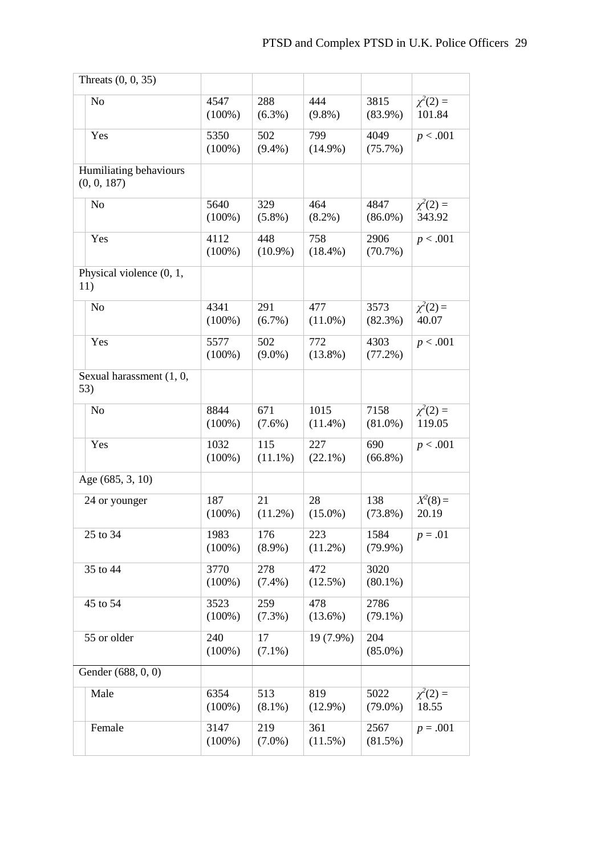| Threats $(0, 0, 35)$                  |                   |                   |                    |                    |                         |
|---------------------------------------|-------------------|-------------------|--------------------|--------------------|-------------------------|
| N <sub>o</sub>                        | 4547<br>$(100\%)$ | 288<br>$(6.3\%)$  | 444<br>$(9.8\%)$   | 3815<br>$(83.9\%)$ | $\chi^2(2) =$<br>101.84 |
| Yes                                   | 5350<br>$(100\%)$ | 502<br>$(9.4\%)$  | 799<br>$(14.9\%)$  | 4049<br>$(75.7\%)$ | p < .001                |
| Humiliating behaviours<br>(0, 0, 187) |                   |                   |                    |                    |                         |
| N <sub>o</sub>                        | 5640<br>$(100\%)$ | 329<br>$(5.8\%)$  | 464<br>$(8.2\%)$   | 4847<br>$(86.0\%)$ | $\chi^2(2) =$<br>343.92 |
| Yes                                   | 4112<br>$(100\%)$ | 448<br>$(10.9\%)$ | 758<br>$(18.4\%)$  | 2906<br>$(70.7\%)$ | p < .001                |
| Physical violence (0, 1,<br>11)       |                   |                   |                    |                    |                         |
| N <sub>o</sub>                        | 4341<br>$(100\%)$ | 291<br>$(6.7\%)$  | 477<br>$(11.0\%)$  | 3573<br>$(82.3\%)$ | $\chi^2(2) =$<br>40.07  |
| Yes                                   | 5577<br>$(100\%)$ | 502<br>$(9.0\%)$  | 772<br>$(13.8\%)$  | 4303<br>$(77.2\%)$ | p < .001                |
| Sexual harassment (1, 0,<br>53)       |                   |                   |                    |                    |                         |
| N <sub>o</sub>                        | 8844<br>$(100\%)$ | 671<br>$(7.6\%)$  | 1015<br>$(11.4\%)$ | 7158<br>$(81.0\%)$ | $\chi^2(2) =$<br>119.05 |
| Yes                                   | 1032<br>$(100\%)$ | 115<br>$(11.1\%)$ | 227<br>$(22.1\%)$  | 690<br>$(66.8\%)$  | p < .001                |
| Age (685, 3, 10)                      |                   |                   |                    |                    |                         |
| 24 or younger                         | 187<br>$(100\%)$  | 21<br>$(11.2\%)$  | 28<br>$(15.0\%)$   | 138<br>$(73.8\%)$  | $X^2(8) =$<br>20.19     |
| 25 to 34                              | 1983<br>$(100\%)$ | 176<br>$(8.9\%)$  | 223<br>$(11.2\%)$  | 1584<br>$(79.9\%)$ | $p = .01$               |
| 35 to 44                              | 3770<br>$(100\%)$ | 278<br>$(7.4\%)$  | 472<br>$(12.5\%)$  | 3020<br>$(80.1\%)$ |                         |
| 45 to 54                              | 3523<br>$(100\%)$ | 259<br>$(7.3\%)$  | 478<br>$(13.6\%)$  | 2786<br>$(79.1\%)$ |                         |
| 55 or older                           | 240<br>$(100\%)$  | 17<br>$(7.1\%)$   | 19 (7.9%)          | 204<br>$(85.0\%)$  |                         |
| Gender (688, 0, 0)                    |                   |                   |                    |                    |                         |
| Male                                  | 6354<br>$(100\%)$ | 513<br>$(8.1\%)$  | 819<br>$(12.9\%)$  | 5022<br>$(79.0\%)$ | $\chi^2(2) =$<br>18.55  |
| Female                                | 3147<br>$(100\%)$ | 219<br>$(7.0\%)$  | 361<br>$(11.5\%)$  | 2567<br>(81.5%)    | $p = .001$              |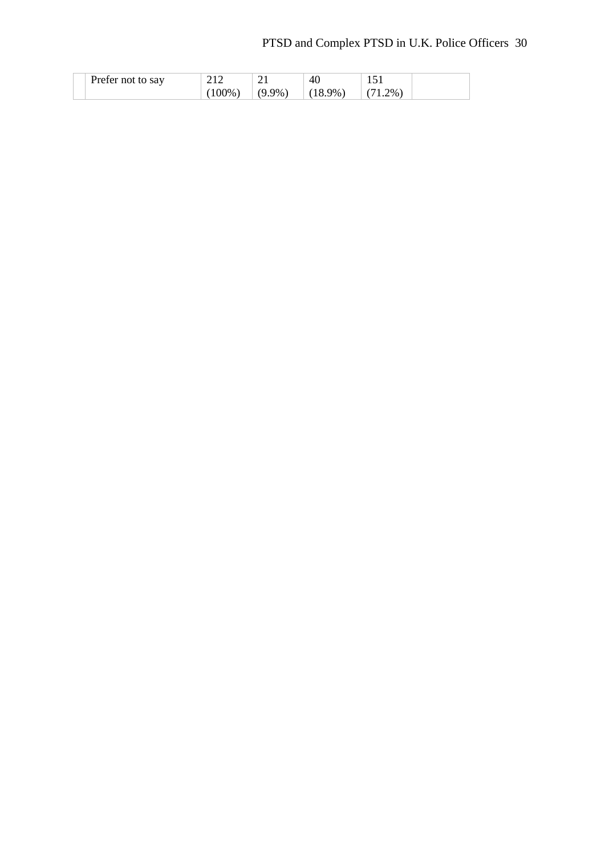# PTSD and Complex PTSD in U.K. Police Officers 30

| Prefer not to say |       |          | 40     |            |
|-------------------|-------|----------|--------|------------|
|                   | 100%) | $(9.9\%$ | $.9\%$ | $2\%$<br>. |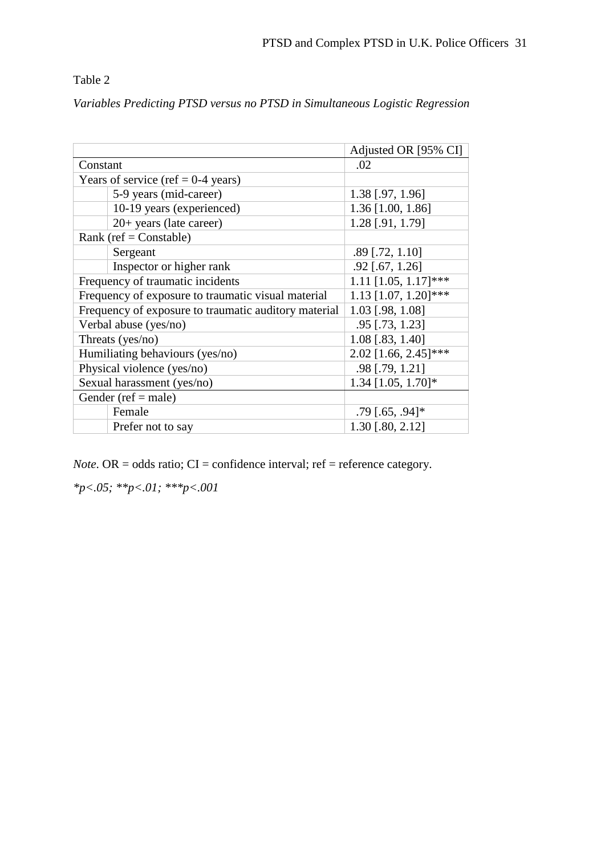### Table 2

*Variables Predicting PTSD versus no PTSD in Simultaneous Logistic Regression*

|                                                      | Adjusted OR [95% CI]      |
|------------------------------------------------------|---------------------------|
| Constant                                             | .02                       |
| Years of service (ref = $0-4$ years)                 |                           |
| 5-9 years (mid-career)                               | $1.38$ [.97, 1.96]        |
| 10-19 years (experienced)                            | 1.36 [1.00, 1.86]         |
| $20+$ years (late career)                            | 1.28 [.91, 1.79]          |
| Rank (ref = $Constable$ )                            |                           |
| Sergeant                                             | $.89$ [.72, 1.10]         |
| Inspector or higher rank                             | $.92$ [.67, 1.26]         |
| Frequency of traumatic incidents                     | $1.11$ [1.05, 1.17]***    |
| Frequency of exposure to traumatic visual material   | $1.13$ [1.07, 1.20]***    |
| Frequency of exposure to traumatic auditory material | 1.03 [.98, 1.08]          |
| Verbal abuse (yes/no)                                | .95 [.73, 1.23]           |
| Threats (yes/no)                                     | 1.08 [.83, 1.40]          |
| Humiliating behaviours (yes/no)                      | $2.02$ [1.66, $2.45$ ]*** |
| Physical violence (yes/no)                           | .98 [.79, 1.21]           |
| Sexual harassment (yes/no)                           | $1.34$ [1.05, 1.70]*      |
| Gender (ref = male)                                  |                           |
| Female                                               | $.79$ [.65, .94]*         |
| Prefer not to say                                    | $1.30$ [.80, 2.12]        |

*Note*. OR = odds ratio;  $CI =$  confidence interval; ref = reference category.

*\*p<.05; \*\*p<.01; \*\*\*p<.001*